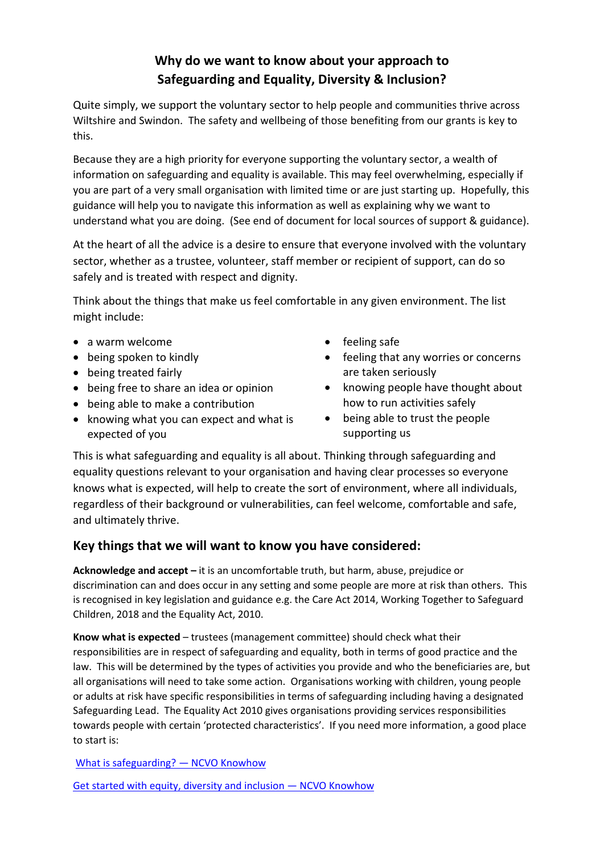# **Why do we want to know about your approach to Safeguarding and Equality, Diversity & Inclusion?**

Quite simply, we support the voluntary sector to help people and communities thrive across Wiltshire and Swindon. The safety and wellbeing of those benefiting from our grants is key to this.

Because they are a high priority for everyone supporting the voluntary sector, a wealth of information on safeguarding and equality is available. This may feel overwhelming, especially if you are part of a very small organisation with limited time or are just starting up. Hopefully, this guidance will help you to navigate this information as well as explaining why we want to understand what you are doing. (See end of document for local sources of support & guidance).

At the heart of all the advice is a desire to ensure that everyone involved with the voluntary sector, whether as a trustee, volunteer, staff member or recipient of support, can do so safely and is treated with respect and dignity.

Think about the things that make us feel comfortable in any given environment. The list might include:

- a warm welcome
- being spoken to kindly
- being treated fairly
- being free to share an idea or opinion
- being able to make a contribution
- knowing what you can expect and what is expected of you
- feeling safe
- feeling that any worries or concerns are taken seriously
- knowing people have thought about how to run activities safely
- being able to trust the people supporting us

This is what safeguarding and equality is all about. Thinking through safeguarding and equality questions relevant to your organisation and having clear processes so everyone knows what is expected, will help to create the sort of environment, where all individuals, regardless of their background or vulnerabilities, can feel welcome, comfortable and safe, and ultimately thrive.

## **Key things that we will want to know you have considered:**

**Acknowledge and accept –** it is an uncomfortable truth, but harm, abuse, prejudice or discrimination can and does occur in any setting and some people are more at risk than others. This is recognised in key legislation and guidance e.g. the Care Act 2014, Working Together to Safeguard Children, 2018 and the Equality Act, 2010.

**Know what is expected** – trustees (management committee) should check what their responsibilities are in respect of safeguarding and equality, both in terms of good practice and the law. This will be determined by the types of activities you provide and who the beneficiaries are, but all organisations will need to take some action. Organisations working with children, young people or adults at risk have specific responsibilities in terms of safeguarding including having a designated Safeguarding Lead. The Equality Act 2010 gives organisations providing services responsibilities towards people with certain 'protected characteristics'. If you need more information, a good place to start is:

[What is safeguarding?](https://knowhow.ncvo.org.uk/safeguarding/what-is-safeguarding) - NCVO Knowhow

[Get started with equity, diversity and inclusion](https://knowhow.ncvo.org.uk/organisation/equity-diversity-and-inclusion/get-started-with-equity-diversity-and-inclusion#section-1) — NCVO Knowhow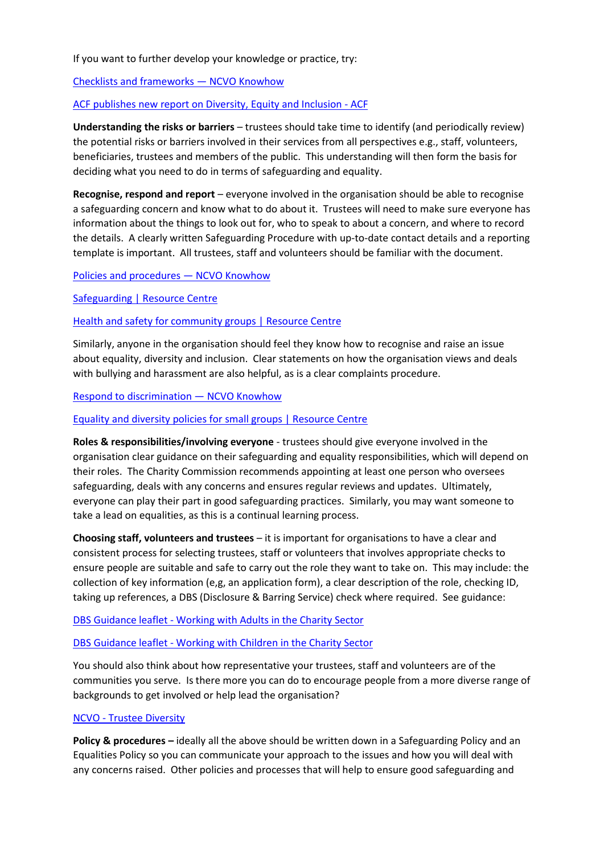If you want to further develop your knowledge or practice, try:

[Checklists and frameworks](https://knowhow.ncvo.org.uk/safeguarding/checklists-training-and-other-support/checklists-and-frameworks) — NCVO Knowhow

[ACF publishes new report on Diversity, Equity and Inclusion -](https://www.acf.org.uk/news/acf-publishes-new-report-on-diversity-equity-and-inclusion) ACF

**Understanding the risks or barriers** – trustees should take time to identify (and periodically review) the potential risks or barriers involved in their services from all perspectives e.g., staff, volunteers, beneficiaries, trustees and members of the public. This understanding will then form the basis for deciding what you need to do in terms of safeguarding and equality.

**Recognise, respond and report** – everyone involved in the organisation should be able to recognise a safeguarding concern and know what to do about it. Trustees will need to make sure everyone has information about the things to look out for, who to speak to about a concern, and where to record the details. A clearly written Safeguarding Procedure with up-to-date contact details and a reporting template is important. All trustees, staff and volunteers should be familiar with the document.

[Policies and procedures](https://knowhow.ncvo.org.uk/safeguarding/steps-to-a-safer-organisation/policies-and-procedures) — NCVO Knowhow

[Safeguarding | Resource Centre](https://www.resourcecentre.org.uk/information/safeguarding/)

[Health and safety for community groups | Resource Centre](https://www.resourcecentre.org.uk/information/health-and-safety/)

Similarly, anyone in the organisation should feel they know how to recognise and raise an issue about equality, diversity and inclusion. Clear statements on how the organisation views and deals with bullying and harassment are also helpful, as is a clear complaints procedure.

[Respond to discrimination](https://knowhow.ncvo.org.uk/organisation/equity-diversity-and-inclusion/respond-to-discrimination) — NCVO Knowhow

[Equality and diversity policies for small groups | Resource Centre](https://www.resourcecentre.org.uk/information/equality-and-diversity-policies-for-small-groups/)

**Roles & responsibilities/involving everyone** - trustees should give everyone involved in the organisation clear guidance on their safeguarding and equality responsibilities, which will depend on their roles. The Charity Commission recommends appointing at least one person who oversees safeguarding, deals with any concerns and ensures regular reviews and updates. Ultimately, everyone can play their part in good safeguarding practices. Similarly, you may want someone to take a lead on equalities, as this is a continual learning process.

**Choosing staff, volunteers and trustees** – it is important for organisations to have a clear and consistent process for selecting trustees, staff or volunteers that involves appropriate checks to ensure people are suitable and safe to carry out the role they want to take on. This may include: the collection of key information (e,g, an application form), a clear description of the role, checking ID, taking up references, a DBS (Disclosure & Barring Service) check where required. See guidance:

### DBS Guidance leaflet - [Working with Adults in the Charity Sector](https://assets.publishing.service.gov.uk/government/uploads/system/uploads/attachment_data/file/789060/ENGLISH_-_CCS156_CCS0219642870-002_Charity_Roles_Adults_Web.pdf)

DBS Guidance leaflet - [Working with Children in the Charity Sector](https://assets.publishing.service.gov.uk/government/uploads/system/uploads/attachment_data/file/789061/ENGLISH_-_CCS156_CCS0219642870-001_Charity_Roles_Children_Web.pdf)

You should also think about how representative your trustees, staff and volunteers are of the communities you serve. Is there more you can do to encourage people from a more diverse range of backgrounds to get involved or help lead the organisation?

#### NCVO - [Trustee Diversity](https://knowhow.ncvo.org.uk/governance/improving-your-governance-practice/trustee-diversity/how-to-increase-diversity-among-trustees)

**Policy & procedures –** ideally all the above should be written down in a Safeguarding Policy and an Equalities Policy so you can communicate your approach to the issues and how you will deal with any concerns raised. Other policies and processes that will help to ensure good safeguarding and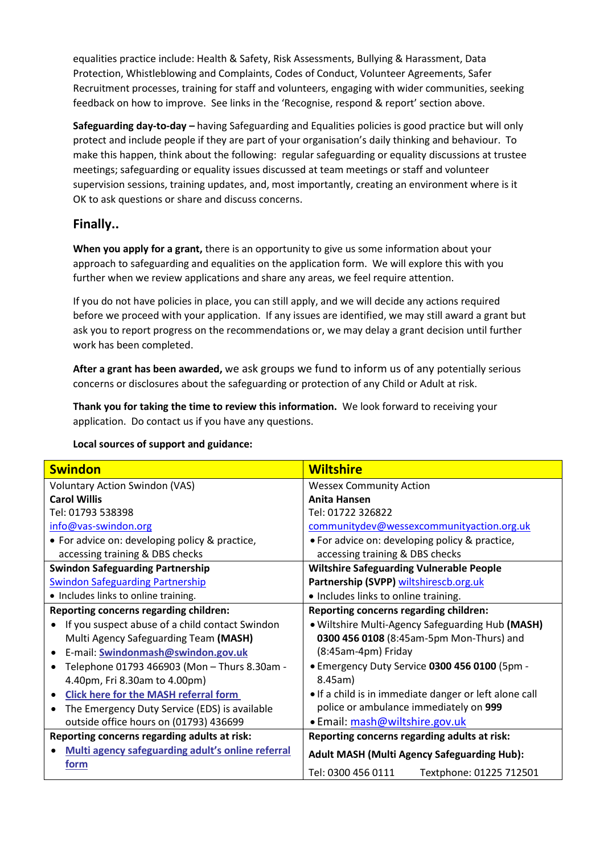equalities practice include: Health & Safety, Risk Assessments, Bullying & Harassment, Data Protection, Whistleblowing and Complaints, Codes of Conduct, Volunteer Agreements, Safer Recruitment processes, training for staff and volunteers, engaging with wider communities, seeking feedback on how to improve. See links in the 'Recognise, respond & report' section above.

**Safeguarding day-to-day –** having Safeguarding and Equalities policies is good practice but will only protect and include people if they are part of your organisation's daily thinking and behaviour. To make this happen, think about the following: regular safeguarding or equality discussions at trustee meetings; safeguarding or equality issues discussed at team meetings or staff and volunteer supervision sessions, training updates, and, most importantly, creating an environment where is it OK to ask questions or share and discuss concerns.

### **Finally..**

**When you apply for a grant,** there is an opportunity to give us some information about your approach to safeguarding and equalities on the application form. We will explore this with you further when we review applications and share any areas, we feel require attention.

If you do not have policies in place, you can still apply, and we will decide any actions required before we proceed with your application. If any issues are identified, we may still award a grant but ask you to report progress on the recommendations or, we may delay a grant decision until further work has been completed.

**After a grant has been awarded,** we ask groups we fund to inform us of any potentially serious concerns or disclosures about the safeguarding or protection of any Child or Adult at risk.

**Thank you for taking the time to review this information.** We look forward to receiving your application. Do contact us if you have any questions.

| <b>Swindon</b>                                    | <b>Wiltshire</b>                                       |
|---------------------------------------------------|--------------------------------------------------------|
| <b>Voluntary Action Swindon (VAS)</b>             | <b>Wessex Community Action</b>                         |
| <b>Carol Willis</b>                               | <b>Anita Hansen</b>                                    |
| Tel: 01793 538398                                 | Tel: 01722 326822                                      |
| info@vas-swindon.org                              | communitydev@wessexcommunityaction.org.uk              |
| • For advice on: developing policy & practice,    | • For advice on: developing policy & practice,         |
| accessing training & DBS checks                   | accessing training & DBS checks                        |
| <b>Swindon Safeguarding Partnership</b>           | <b>Wiltshire Safeguarding Vulnerable People</b>        |
| <b>Swindon Safeguarding Partnership</b>           | Partnership (SVPP) wiltshirescb.org.uk                 |
| • Includes links to online training.              | • Includes links to online training.                   |
| Reporting concerns regarding children:            | Reporting concerns regarding children:                 |
| If you suspect abuse of a child contact Swindon   | . Wiltshire Multi-Agency Safeguarding Hub (MASH)       |
| Multi Agency Safeguarding Team (MASH)             | 0300 456 0108 (8:45am-5pm Mon-Thurs) and               |
| E-mail: Swindonmash@swindon.gov.uk                | (8:45am-4pm) Friday                                    |
| Telephone 01793 466903 (Mon - Thurs 8.30am -      | • Emergency Duty Service 0300 456 0100 (5pm -          |
| 4.40pm, Fri 8.30am to 4.00pm)                     | 8.45am)                                                |
| <b>Click here for the MASH referral form</b>      | • If a child is in immediate danger or left alone call |
| The Emergency Duty Service (EDS) is available     | police or ambulance immediately on 999                 |
| outside office hours on (01793) 436699            | · Email: mash@wiltshire.gov.uk                         |
| Reporting concerns regarding adults at risk:      | Reporting concerns regarding adults at risk:           |
| Multi agency safeguarding adult's online referral | <b>Adult MASH (Multi Agency Safeguarding Hub):</b>     |
| form                                              |                                                        |
|                                                   | Tel: 0300 456 0111<br>Textphone: 01225 712501          |

#### **Local sources of support and guidance:**